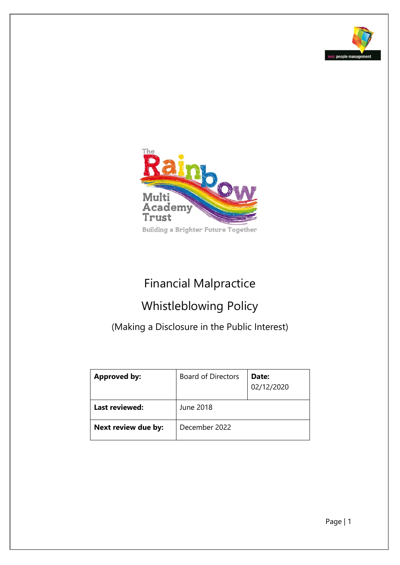



# Financial Malpractice

## Whistleblowing Policy

(Making a Disclosure in the Public Interest)

| <b>Approved by:</b> | <b>Board of Directors</b> | Date:<br>02/12/2020 |
|---------------------|---------------------------|---------------------|
| Last reviewed:      | June 2018                 |                     |
| Next review due by: | December 2022             |                     |

Page | 1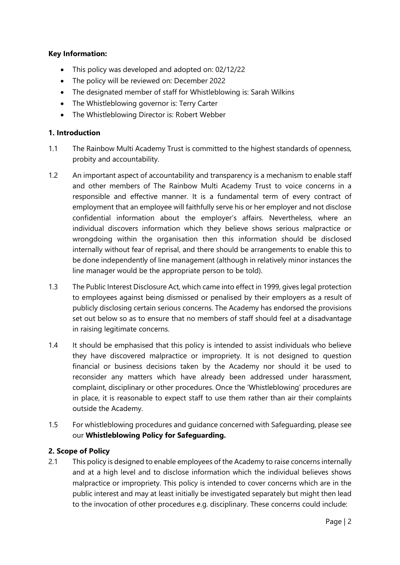#### **Key Information:**

- This policy was developed and adopted on: 02/12/22
- The policy will be reviewed on: December 2022
- The designated member of staff for Whistleblowing is: Sarah Wilkins
- The Whistleblowing governor is: Terry Carter
- The Whistleblowing Director is: Robert Webber

#### **1. Introduction**

- 1.1 The Rainbow Multi Academy Trust is committed to the highest standards of openness, probity and accountability.
- 1.2 An important aspect of accountability and transparency is a mechanism to enable staff and other members of The Rainbow Multi Academy Trust to voice concerns in a responsible and effective manner. It is a fundamental term of every contract of employment that an employee will faithfully serve his or her employer and not disclose confidential information about the employer's affairs. Nevertheless, where an individual discovers information which they believe shows serious malpractice or wrongdoing within the organisation then this information should be disclosed internally without fear of reprisal, and there should be arrangements to enable this to be done independently of line management (although in relatively minor instances the line manager would be the appropriate person to be told).
- 1.3 The Public Interest Disclosure Act, which came into effect in 1999, gives legal protection to employees against being dismissed or penalised by their employers as a result of publicly disclosing certain serious concerns. The Academy has endorsed the provisions set out below so as to ensure that no members of staff should feel at a disadvantage in raising legitimate concerns.
- 1.4 It should be emphasised that this policy is intended to assist individuals who believe they have discovered malpractice or impropriety. It is not designed to question financial or business decisions taken by the Academy nor should it be used to reconsider any matters which have already been addressed under harassment, complaint, disciplinary or other procedures. Once the 'Whistleblowing' procedures are in place, it is reasonable to expect staff to use them rather than air their complaints outside the Academy.
- 1.5 For whistleblowing procedures and guidance concerned with Safeguarding, please see our **Whistleblowing Policy for Safeguarding.**

#### **2. Scope of Policy**

2.1 This policy is designed to enable employees of the Academy to raise concerns internally and at a high level and to disclose information which the individual believes shows malpractice or impropriety. This policy is intended to cover concerns which are in the public interest and may at least initially be investigated separately but might then lead to the invocation of other procedures e.g. disciplinary. These concerns could include: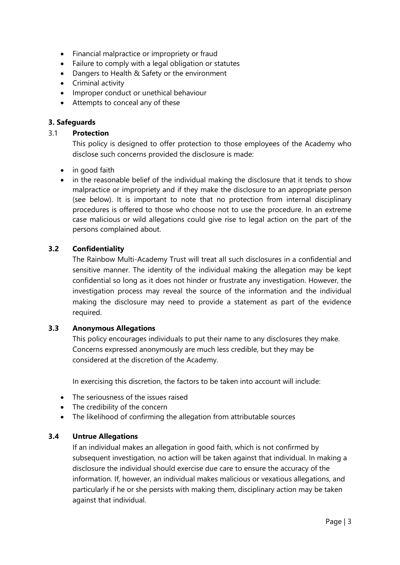- Financial malpractice or impropriety or fraud
- Failure to comply with a legal obligation or statutes
- Dangers to Health & Safety or the environment
- Criminal activity
- Improper conduct or unethical behaviour
- Attempts to conceal any of these

### **3. Safeguards**

#### 3.1 **Protection**

This policy is designed to offer protection to those employees of the Academy who disclose such concerns provided the disclosure is made:

- in good faith
- in the reasonable belief of the individual making the disclosure that it tends to show malpractice or impropriety and if they make the disclosure to an appropriate person (see below). It is important to note that no protection from internal disciplinary procedures is offered to those who choose not to use the procedure. In an extreme case malicious or wild allegations could give rise to legal action on the part of the persons complained about.

#### **3.2 Confidentiality**

The Rainbow Multi-Academy Trust will treat all such disclosures in a confidential and sensitive manner. The identity of the individual making the allegation may be kept confidential so long as it does not hinder or frustrate any investigation. However, the investigation process may reveal the source of the information and the individual making the disclosure may need to provide a statement as part of the evidence required.

#### **3.3 Anonymous Allegations**

This policy encourages individuals to put their name to any disclosures they make. Concerns expressed anonymously are much less credible, but they may be considered at the discretion of the Academy.

In exercising this discretion, the factors to be taken into account will include:

- The seriousness of the issues raised
- The credibility of the concern
- The likelihood of confirming the allegation from attributable sources

#### **3.4 Untrue Allegations**

If an individual makes an allegation in good faith, which is not confirmed by subsequent investigation, no action will be taken against that individual. In making a disclosure the individual should exercise due care to ensure the accuracy of the information. If, however, an individual makes malicious or vexatious allegations, and particularly if he or she persists with making them, disciplinary action may be taken against that individual.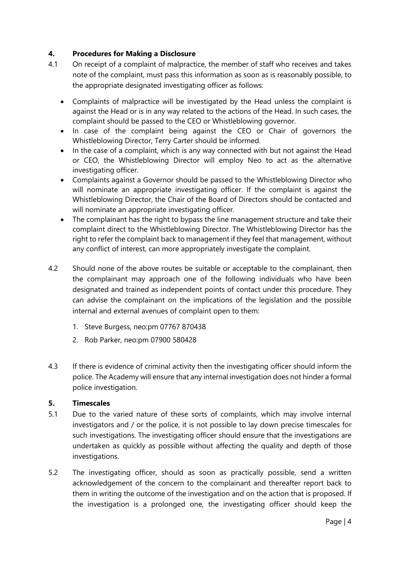#### **4. Procedures for Making a Disclosure**

- 4.1 On receipt of a complaint of malpractice, the member of staff who receives and takes note of the complaint, must pass this information as soon as is reasonably possible, to the appropriate designated investigating officer as follows:
	- Complaints of malpractice will be investigated by the Head unless the complaint is against the Head or is in any way related to the actions of the Head. In such cases, the complaint should be passed to the CEO or Whistleblowing governor.
	- In case of the complaint being against the CEO or Chair of governors the Whistleblowing Director, Terry Carter should be informed.
	- In the case of a complaint, which is any way connected with but not against the Head or CEO, the Whistleblowing Director will employ Neo to act as the alternative investigating officer.
	- Complaints against a Governor should be passed to the Whistleblowing Director who will nominate an appropriate investigating officer. If the complaint is against the Whistleblowing Director, the Chair of the Board of Directors should be contacted and will nominate an appropriate investigating officer.
	- The complainant has the right to bypass the line management structure and take their complaint direct to the Whistleblowing Director. The Whistleblowing Director has the right to refer the complaint back to management if they feel that management, without any conflict of interest, can more appropriately investigate the complaint.
- 4.2 Should none of the above routes be suitable or acceptable to the complainant, then the complainant may approach one of the following individuals who have been designated and trained as independent points of contact under this procedure. They can advise the complainant on the implications of the legislation and the possible internal and external avenues of complaint open to them:
	- 1. Steve Burgess, neo:pm 07767 870438
	- 2. Rob Parker, neo:pm 07900 580428
- 4.3 If there is evidence of criminal activity then the investigating officer should inform the police. The Academy will ensure that any internal investigation does not hinder a formal police investigation.

#### **5. Timescales**

- 5.1 Due to the varied nature of these sorts of complaints, which may involve internal investigators and / or the police, it is not possible to lay down precise timescales for such investigations. The investigating officer should ensure that the investigations are undertaken as quickly as possible without affecting the quality and depth of those investigations.
- 5.2 The investigating officer, should as soon as practically possible, send a written acknowledgement of the concern to the complainant and thereafter report back to them in writing the outcome of the investigation and on the action that is proposed. If the investigation is a prolonged one, the investigating officer should keep the